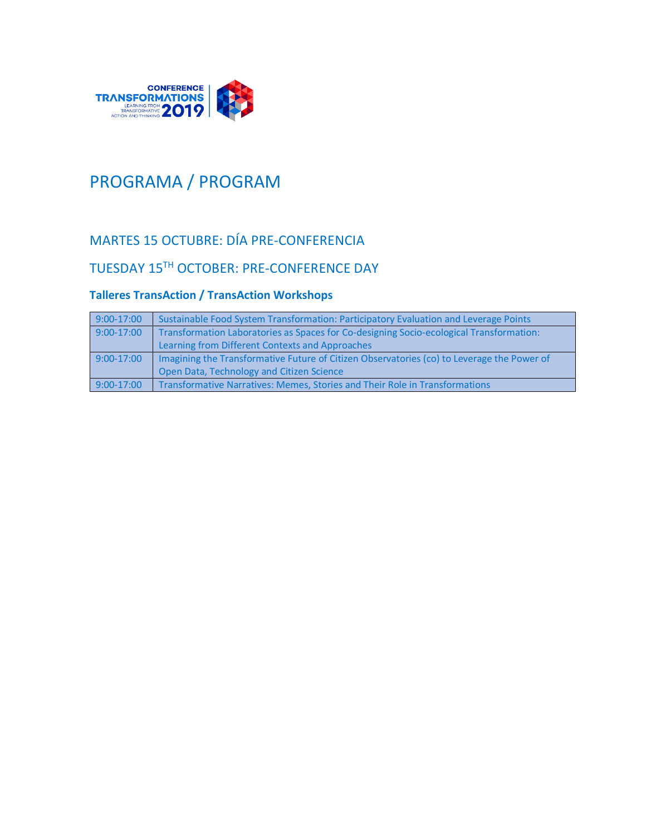

# PROGRAMA / PROGRAM

# MARTES 15 OCTUBRE: DÍA PRE-CONFERENCIA

### TUESDAY 15TH OCTOBER: PRE-CONFERENCE DAY

#### **Talleres TransAction / TransAction Workshops**

| $9:00-17:00$ | Sustainable Food System Transformation: Participatory Evaluation and Leverage Points       |
|--------------|--------------------------------------------------------------------------------------------|
| $9:00-17:00$ | Transformation Laboratories as Spaces for Co-designing Socio-ecological Transformation:    |
|              | Learning from Different Contexts and Approaches                                            |
| $9:00-17:00$ | Imagining the Transformative Future of Citizen Observatories (co) to Leverage the Power of |
|              | Open Data, Technology and Citizen Science                                                  |
| $9:00-17:00$ | Transformative Narratives: Memes, Stories and Their Role in Transformations                |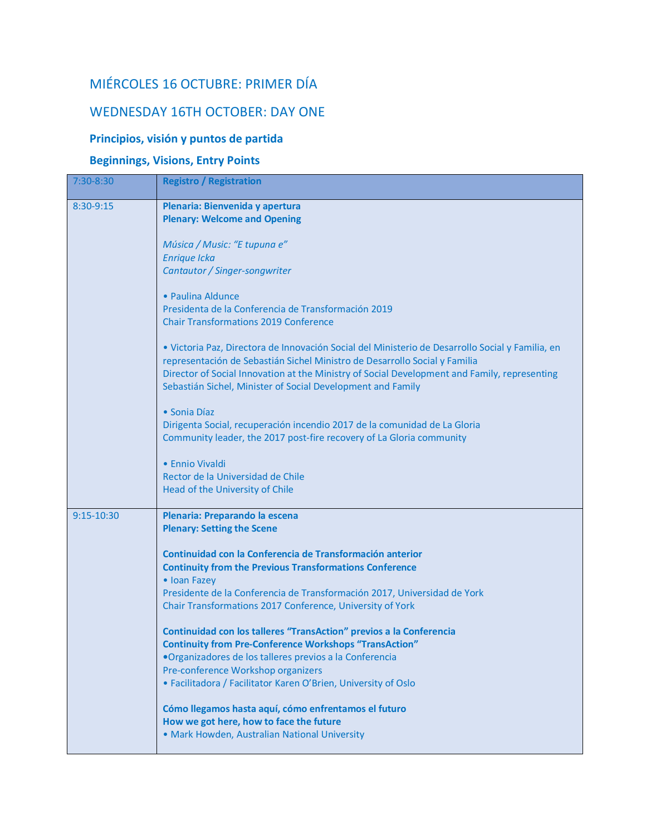# MIÉRCOLES 16 OCTUBRE: PRIMER DÍA

## WEDNESDAY 16TH OCTOBER: DAY ONE

#### **Principios, visión y puntos de partida**

#### **Beginnings, Visions, Entry Points**

| 7:30-8:30    | <b>Registro / Registration</b>                                                                                                                                                                                                                                                                                                                |
|--------------|-----------------------------------------------------------------------------------------------------------------------------------------------------------------------------------------------------------------------------------------------------------------------------------------------------------------------------------------------|
| 8:30-9:15    | Plenaria: Bienvenida y apertura<br><b>Plenary: Welcome and Opening</b>                                                                                                                                                                                                                                                                        |
|              | Música / Music: "E tupuna e"<br><b>Enrique Icka</b>                                                                                                                                                                                                                                                                                           |
|              | Cantautor / Singer-songwriter                                                                                                                                                                                                                                                                                                                 |
|              | • Paulina Aldunce<br>Presidenta de la Conferencia de Transformación 2019<br><b>Chair Transformations 2019 Conference</b>                                                                                                                                                                                                                      |
|              | · Victoria Paz, Directora de Innovación Social del Ministerio de Desarrollo Social y Familia, en<br>representación de Sebastián Sichel Ministro de Desarrollo Social y Familia<br>Director of Social Innovation at the Ministry of Social Development and Family, representing<br>Sebastián Sichel, Minister of Social Development and Family |
|              | • Sonia Díaz<br>Dirigenta Social, recuperación incendio 2017 de la comunidad de La Gloria<br>Community leader, the 2017 post-fire recovery of La Gloria community                                                                                                                                                                             |
|              | • Ennio Vivaldi<br>Rector de la Universidad de Chile<br>Head of the University of Chile                                                                                                                                                                                                                                                       |
| $9:15-10:30$ | Plenaria: Preparando la escena<br><b>Plenary: Setting the Scene</b>                                                                                                                                                                                                                                                                           |
|              | Continuidad con la Conferencia de Transformación anterior<br><b>Continuity from the Previous Transformations Conference</b><br>• Ioan Fazey<br>Presidente de la Conferencia de Transformación 2017, Universidad de York<br>Chair Transformations 2017 Conference, University of York                                                          |
|              | <b>Continuidad con los talleres "TransAction" previos a la Conferencia</b><br><b>Continuity from Pre-Conference Workshops "TransAction"</b><br>•Organizadores de los talleres previos a la Conferencia                                                                                                                                        |
|              | Pre-conference Workshop organizers<br>• Facilitadora / Facilitator Karen O'Brien, University of Oslo                                                                                                                                                                                                                                          |
|              | Cómo llegamos hasta aquí, cómo enfrentamos el futuro<br>How we got here, how to face the future<br>· Mark Howden, Australian National University                                                                                                                                                                                              |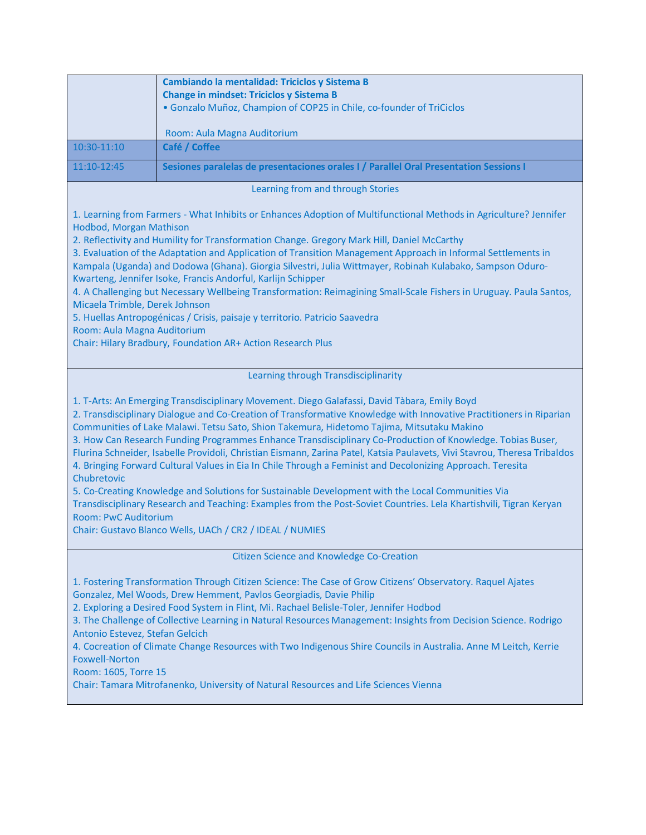|                                                                                                                                                                                                                                                                                                                                                                                                                                                                                                                                                                                                                                                                                                                                                                                                                                                                                                                                                                                                                | Cambiando la mentalidad: Triciclos y Sistema B<br><b>Change in mindset: Triciclos y Sistema B</b> |
|----------------------------------------------------------------------------------------------------------------------------------------------------------------------------------------------------------------------------------------------------------------------------------------------------------------------------------------------------------------------------------------------------------------------------------------------------------------------------------------------------------------------------------------------------------------------------------------------------------------------------------------------------------------------------------------------------------------------------------------------------------------------------------------------------------------------------------------------------------------------------------------------------------------------------------------------------------------------------------------------------------------|---------------------------------------------------------------------------------------------------|
|                                                                                                                                                                                                                                                                                                                                                                                                                                                                                                                                                                                                                                                                                                                                                                                                                                                                                                                                                                                                                | · Gonzalo Muñoz, Champion of COP25 in Chile, co-founder of TriCiclos                              |
|                                                                                                                                                                                                                                                                                                                                                                                                                                                                                                                                                                                                                                                                                                                                                                                                                                                                                                                                                                                                                | Room: Aula Magna Auditorium                                                                       |
| 10:30-11:10                                                                                                                                                                                                                                                                                                                                                                                                                                                                                                                                                                                                                                                                                                                                                                                                                                                                                                                                                                                                    | Café / Coffee                                                                                     |
| 11:10-12:45                                                                                                                                                                                                                                                                                                                                                                                                                                                                                                                                                                                                                                                                                                                                                                                                                                                                                                                                                                                                    | Sesiones paralelas de presentaciones orales I / Parallel Oral Presentation Sessions I             |
| Learning from and through Stories                                                                                                                                                                                                                                                                                                                                                                                                                                                                                                                                                                                                                                                                                                                                                                                                                                                                                                                                                                              |                                                                                                   |
| 1. Learning from Farmers - What Inhibits or Enhances Adoption of Multifunctional Methods in Agriculture? Jennifer<br>Hodbod, Morgan Mathison<br>2. Reflectivity and Humility for Transformation Change. Gregory Mark Hill, Daniel McCarthy<br>3. Evaluation of the Adaptation and Application of Transition Management Approach in Informal Settlements in<br>Kampala (Uganda) and Dodowa (Ghana). Giorgia Silvestri, Julia Wittmayer, Robinah Kulabako, Sampson Oduro-<br>Kwarteng, Jennifer Isoke, Francis Andorful, Karlijn Schipper<br>4. A Challenging but Necessary Wellbeing Transformation: Reimagining Small-Scale Fishers in Uruguay. Paula Santos,<br>Micaela Trimble, Derek Johnson<br>5. Huellas Antropogénicas / Crisis, paisaje y territorio. Patricio Saavedra<br>Room: Aula Magna Auditorium<br>Chair: Hilary Bradbury, Foundation AR+ Action Research Plus                                                                                                                                   |                                                                                                   |
|                                                                                                                                                                                                                                                                                                                                                                                                                                                                                                                                                                                                                                                                                                                                                                                                                                                                                                                                                                                                                | Learning through Transdisciplinarity                                                              |
| 1. T-Arts: An Emerging Transdisciplinary Movement. Diego Galafassi, David Tàbara, Emily Boyd<br>2. Transdisciplinary Dialogue and Co-Creation of Transformative Knowledge with Innovative Practitioners in Riparian<br>Communities of Lake Malawi. Tetsu Sato, Shion Takemura, Hidetomo Tajima, Mitsutaku Makino<br>3. How Can Research Funding Programmes Enhance Transdisciplinary Co-Production of Knowledge. Tobias Buser,<br>Flurina Schneider, Isabelle Providoli, Christian Eismann, Zarina Patel, Katsia Paulavets, Vivi Stavrou, Theresa Tribaldos<br>4. Bringing Forward Cultural Values in Eia In Chile Through a Feminist and Decolonizing Approach. Teresita<br>Chubretovic<br>5. Co-Creating Knowledge and Solutions for Sustainable Development with the Local Communities Via<br>Transdisciplinary Research and Teaching: Examples from the Post-Soviet Countries. Lela Khartishvili, Tigran Keryan<br><b>Room: PwC Auditorium</b><br>Chair: Gustavo Blanco Wells, UACh / CR2 / IDEAL / NUMIES |                                                                                                   |
|                                                                                                                                                                                                                                                                                                                                                                                                                                                                                                                                                                                                                                                                                                                                                                                                                                                                                                                                                                                                                | <b>Citizen Science and Knowledge Co-Creation</b>                                                  |
| 1. Fostering Transformation Through Citizen Science: The Case of Grow Citizens' Observatory. Raquel Ajates<br>Gonzalez, Mel Woods, Drew Hemment, Pavlos Georgiadis, Davie Philip<br>2. Exploring a Desired Food System in Flint, Mi. Rachael Belisle-Toler, Jennifer Hodbod<br>3. The Challenge of Collective Learning in Natural Resources Management: Insights from Decision Science. Rodrigo<br>Antonio Estevez, Stefan Gelcich<br>4. Cocreation of Climate Change Resources with Two Indigenous Shire Councils in Australia. Anne M Leitch, Kerrie<br><b>Foxwell-Norton</b><br>Room: 1605, Torre 15<br>Chair: Tamara Mitrofanenko, University of Natural Resources and Life Sciences Vienna                                                                                                                                                                                                                                                                                                                |                                                                                                   |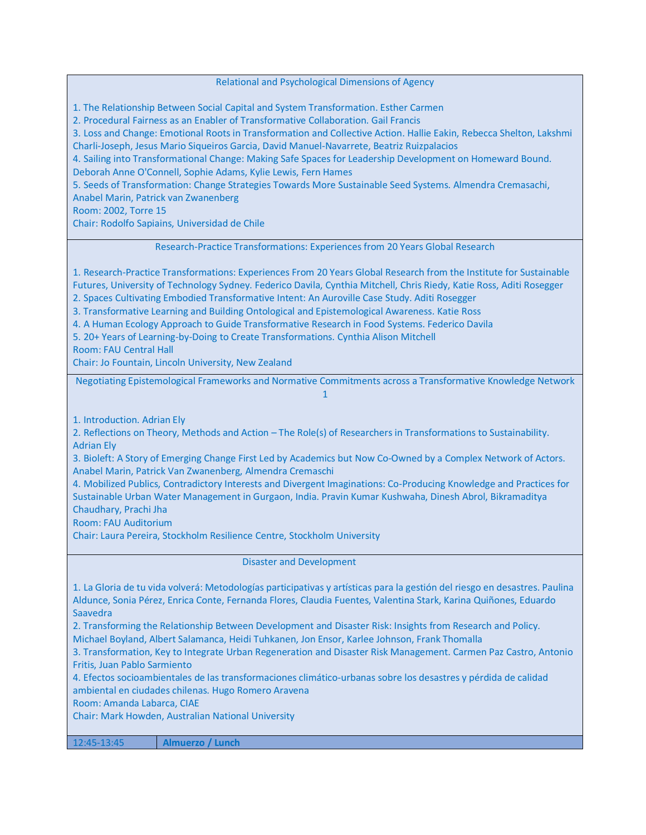Relational and Psychological Dimensions of Agency

1. The Relationship Between Social Capital and System Transformation. Esther Carmen

2. Procedural Fairness as an Enabler of Transformative Collaboration. Gail Francis

3. Loss and Change: Emotional Roots in Transformation and Collective Action. Hallie Eakin, Rebecca Shelton, Lakshmi Charli-Joseph, Jesus Mario Siqueiros Garcia, David Manuel-Navarrete, Beatriz Ruizpalacios

4. Sailing into Transformational Change: Making Safe Spaces for Leadership Development on Homeward Bound. Deborah Anne O'Connell, Sophie Adams, Kylie Lewis, Fern Hames

5. Seeds of Transformation: Change Strategies Towards More Sustainable Seed Systems. Almendra Cremasachi,

Anabel Marin, Patrick van Zwanenberg

Room: 2002, Torre 15

Chair: Rodolfo Sapiains, Universidad de Chile

Research-Practice Transformations: Experiences from 20 Years Global Research

1. Research-Practice Transformations: Experiences From 20 Years Global Research from the Institute for Sustainable Futures, University of Technology Sydney. Federico Davila, Cynthia Mitchell, Chris Riedy, Katie Ross, Aditi Rosegger 2. Spaces Cultivating Embodied Transformative Intent: An Auroville Case Study. Aditi Rosegger

3. Transformative Learning and Building Ontological and Epistemological Awareness. Katie Ross

4. A Human Ecology Approach to Guide Transformative Research in Food Systems. Federico Davila

5. 20+ Years of Learning-by-Doing to Create Transformations. Cynthia Alison Mitchell

Room: FAU Central Hall

Chair: Jo Fountain, Lincoln University, New Zealand

Negotiating Epistemological Frameworks and Normative Commitments across a Transformative Knowledge Network 1

1. Introduction. Adrian Ely

2. Reflections on Theory, Methods and Action – The Role(s) of Researchers in Transformations to Sustainability. Adrian Ely

3. Bioleft: A Story of Emerging Change First Led by Academics but Now Co-Owned by a Complex Network of Actors. Anabel Marin, Patrick Van Zwanenberg, Almendra Cremaschi

4. Mobilized Publics, Contradictory Interests and Divergent Imaginations: Co-Producing Knowledge and Practices for Sustainable Urban Water Management in Gurgaon, India. Pravin Kumar Kushwaha, Dinesh Abrol, Bikramaditya Chaudhary, Prachi Jha

Room: FAU Auditorium

Chair: Laura Pereira, Stockholm Resilience Centre, Stockholm University

Disaster and Development

1. La Gloria de tu vida volverá: Metodologías participativas y artísticas para la gestión del riesgo en desastres. Paulina Aldunce, Sonia Pérez, Enrica Conte, Fernanda Flores, Claudia Fuentes, Valentina Stark, Karina Quiñones, Eduardo Saavedra

2. Transforming the Relationship Between Development and Disaster Risk: Insights from Research and Policy. Michael Boyland, Albert Salamanca, Heidi Tuhkanen, Jon Ensor, Karlee Johnson, Frank Thomalla

3. Transformation, Key to Integrate Urban Regeneration and Disaster Risk Management. Carmen Paz Castro, Antonio Fritis, Juan Pablo Sarmiento

4. Efectos socioambientales de las transformaciones climático-urbanas sobre los desastres y pérdida de calidad ambiental en ciudades chilenas. Hugo Romero Aravena

Room: Amanda Labarca, CIAE

Chair: Mark Howden, Australian National University

12:45-13:45 **Almuerzo / Lunch**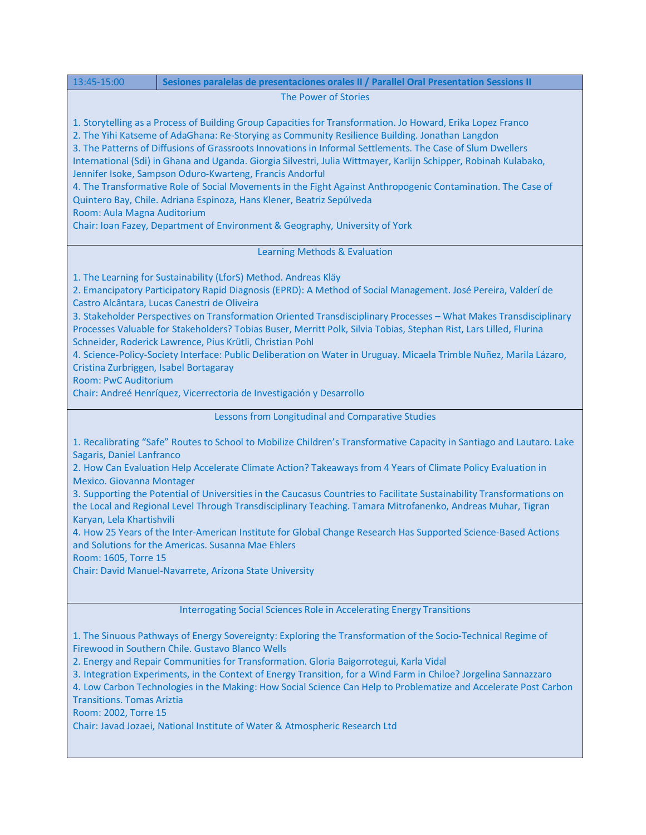| 13:45-15:00<br>Sesiones paralelas de presentaciones orales II / Parallel Oral Presentation Sessions II                                                                                                                                                                                                                                                                                                                                                                                                                                                                                                                                                                                                                                                                                                                          |  |
|---------------------------------------------------------------------------------------------------------------------------------------------------------------------------------------------------------------------------------------------------------------------------------------------------------------------------------------------------------------------------------------------------------------------------------------------------------------------------------------------------------------------------------------------------------------------------------------------------------------------------------------------------------------------------------------------------------------------------------------------------------------------------------------------------------------------------------|--|
| The Power of Stories                                                                                                                                                                                                                                                                                                                                                                                                                                                                                                                                                                                                                                                                                                                                                                                                            |  |
| 1. Storytelling as a Process of Building Group Capacities for Transformation. Jo Howard, Erika Lopez Franco<br>2. The Yihi Katseme of AdaGhana: Re-Storying as Community Resilience Building. Jonathan Langdon<br>3. The Patterns of Diffusions of Grassroots Innovations in Informal Settlements. The Case of Slum Dwellers<br>International (Sdi) in Ghana and Uganda. Giorgia Silvestri, Julia Wittmayer, Karlijn Schipper, Robinah Kulabako,<br>Jennifer Isoke, Sampson Oduro-Kwarteng, Francis Andorful<br>4. The Transformative Role of Social Movements in the Fight Against Anthropogenic Contamination. The Case of<br>Quintero Bay, Chile. Adriana Espinoza, Hans Klener, Beatriz Sepúlveda<br>Room: Aula Magna Auditorium<br>Chair: Ioan Fazey, Department of Environment & Geography, University of York            |  |
| Learning Methods & Evaluation                                                                                                                                                                                                                                                                                                                                                                                                                                                                                                                                                                                                                                                                                                                                                                                                   |  |
| 1. The Learning for Sustainability (LforS) Method. Andreas Kläy<br>2. Emancipatory Participatory Rapid Diagnosis (EPRD): A Method of Social Management. José Pereira, Valderí de<br>Castro Alcântara, Lucas Canestri de Oliveira<br>3. Stakeholder Perspectives on Transformation Oriented Transdisciplinary Processes - What Makes Transdisciplinary<br>Processes Valuable for Stakeholders? Tobias Buser, Merritt Polk, Silvia Tobias, Stephan Rist, Lars Lilled, Flurina<br>Schneider, Roderick Lawrence, Pius Krütli, Christian Pohl<br>4. Science-Policy-Society Interface: Public Deliberation on Water in Uruguay. Micaela Trimble Nuñez, Marila Lázaro,<br>Cristina Zurbriggen, Isabel Bortagaray<br><b>Room: PwC Auditorium</b><br>Chair: Andreé Henríquez, Vicerrectoria de Investigación y Desarrollo                |  |
| Lessons from Longitudinal and Comparative Studies                                                                                                                                                                                                                                                                                                                                                                                                                                                                                                                                                                                                                                                                                                                                                                               |  |
| 1. Recalibrating "Safe" Routes to School to Mobilize Children's Transformative Capacity in Santiago and Lautaro. Lake<br>Sagaris, Daniel Lanfranco<br>2. How Can Evaluation Help Accelerate Climate Action? Takeaways from 4 Years of Climate Policy Evaluation in<br>Mexico. Giovanna Montager<br>3. Supporting the Potential of Universities in the Caucasus Countries to Facilitate Sustainability Transformations on<br>the Local and Regional Level Through Transdisciplinary Teaching. Tamara Mitrofanenko, Andreas Muhar, Tigran<br>Karyan, Lela Khartishvili<br>4. How 25 Years of the Inter-American Institute for Global Change Research Has Supported Science-Based Actions<br>and Solutions for the Americas. Susanna Mae Ehlers<br>Room: 1605, Torre 15<br>Chair: David Manuel-Navarrete, Arizona State University |  |
| Interrogating Social Sciences Role in Accelerating Energy Transitions                                                                                                                                                                                                                                                                                                                                                                                                                                                                                                                                                                                                                                                                                                                                                           |  |
| 1. The Sinuous Pathways of Energy Sovereignty: Exploring the Transformation of the Socio-Technical Regime of<br>Firewood in Southern Chile. Gustavo Blanco Wells<br>2. Energy and Repair Communities for Transformation. Gloria Baigorrotegui, Karla Vidal<br>3. Integration Experiments, in the Context of Energy Transition, for a Wind Farm in Chiloe? Jorgelina Sannazzaro<br>4. Low Carbon Technologies in the Making: How Social Science Can Help to Problematize and Accelerate Post Carbon                                                                                                                                                                                                                                                                                                                              |  |

Transitions. Tomas Ariztia

Room: 2002, Torre 15

Chair: Javad Jozaei, National Institute of Water & Atmospheric Research Ltd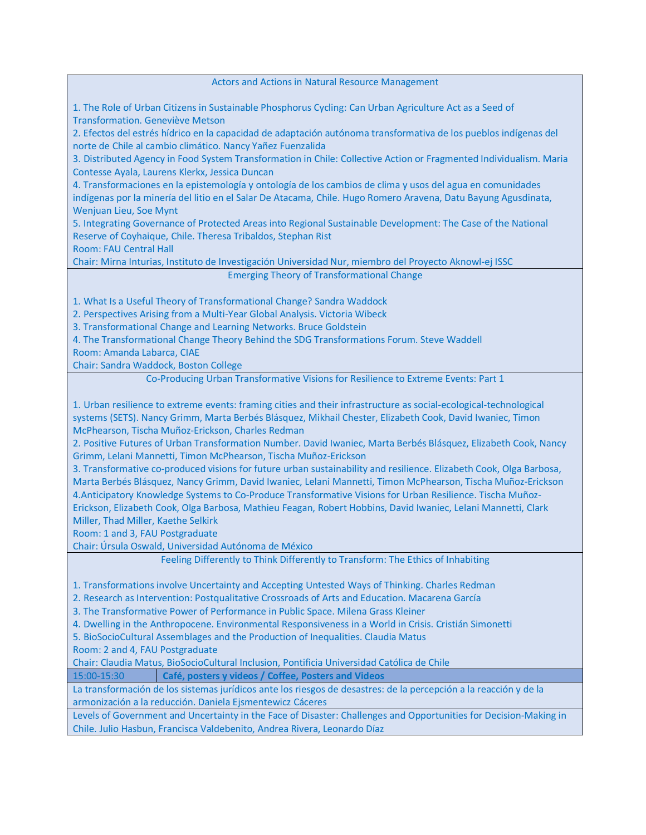#### Actors and Actions in Natural Resource Management

1. The Role of Urban Citizens in Sustainable Phosphorus Cycling: Can Urban Agriculture Act as a Seed of Transformation. Geneviève Metson

2. Efectos del estrés hídrico en la capacidad de adaptación autónoma transformativa de los pueblos indígenas del norte de Chile al cambio climático. Nancy Yañez Fuenzalida

3. Distributed Agency in Food System Transformation in Chile: Collective Action or Fragmented Individualism. Maria Contesse Ayala, Laurens Klerkx, Jessica Duncan

4. Transformaciones en la epistemología y ontología de los cambios de clima y usos del agua en comunidades indígenas por la minería del litio en el Salar De Atacama, Chile. Hugo Romero Aravena, Datu Bayung Agusdinata, Wenjuan Lieu, Soe Mynt

5. Integrating Governance of Protected Areas into Regional Sustainable Development: The Case of the National Reserve of Coyhaique, Chile. Theresa Tribaldos, Stephan Rist

Room: FAU Central Hall

Chair: Mirna Inturias, Instituto de Investigación Universidad Nur, miembro del Proyecto Aknowl-ej ISSC Emerging Theory of Transformational Change

1. What Is a Useful Theory of Transformational Change? Sandra Waddock

2. Perspectives Arising from a Multi-Year Global Analysis. Victoria Wibeck

3. Transformational Change and Learning Networks. Bruce Goldstein

4. The Transformational Change Theory Behind the SDG Transformations Forum. Steve Waddell

Room: Amanda Labarca, CIAE

Chair: Sandra Waddock, Boston College

Co-Producing Urban Transformative Visions for Resilience to Extreme Events: Part 1

1. Urban resilience to extreme events: framing cities and their infrastructure as social-ecological-technological systems (SETS). Nancy Grimm, Marta Berbés Blásquez, Mikhail Chester, Elizabeth Cook, David Iwaniec, Timon McPhearson, Tischa Muñoz-Erickson, Charles Redman

2. Positive Futures of Urban Transformation Number. David Iwaniec, Marta Berbés Blásquez, Elizabeth Cook, Nancy Grimm, Lelani Mannetti, Timon McPhearson, Tischa Muñoz-Erickson

3. Transformative co-produced visions for future urban sustainability and resilience. Elizabeth Cook, Olga Barbosa, Marta Berbés Blásquez, Nancy Grimm, David Iwaniec, Lelani Mannetti, Timon McPhearson, Tischa Muñoz-Erickson 4.Anticipatory Knowledge Systems to Co-Produce Transformative Visions for Urban Resilience. Tischa Muñoz-Erickson, Elizabeth Cook, Olga Barbosa, Mathieu Feagan, Robert Hobbins, David Iwaniec, Lelani Mannetti, Clark Miller, Thad Miller, Kaethe Selkirk

Room: 1 and 3, FAU Postgraduate

Chair: Úrsula Oswald, Universidad Autónoma de México

Feeling Differently to Think Differently to Transform: The Ethics of Inhabiting

1. Transformations involve Uncertainty and Accepting Untested Ways of Thinking. Charles Redman

2. Research as Intervention: Postqualitative Crossroads of Arts and Education. Macarena García

3. The Transformative Power of Performance in Public Space. Milena Grass Kleiner

4. Dwelling in the Anthropocene. Environmental Responsiveness in a World in Crisis. Cristián Simonetti

5. BioSocioCultural Assemblages and the Production of Inequalities. Claudia Matus

Room: 2 and 4, FAU Postgraduate

Chair: Claudia Matus, BioSocioCultural Inclusion, Pontificia Universidad Católica de Chile

15:00-15:30 **Café, posters y videos / Coffee, Posters and Videos**

La transformación de los sistemas jurídicos ante los riesgos de desastres: de la percepción a la reacción y de la armonización a la reducción. Daniela Ejsmentewicz Cáceres

Levels of Government and Uncertainty in the Face of Disaster: Challenges and Opportunities for Decision-Making in Chile. Julio Hasbun, Francisca Valdebenito, Andrea Rivera, Leonardo Díaz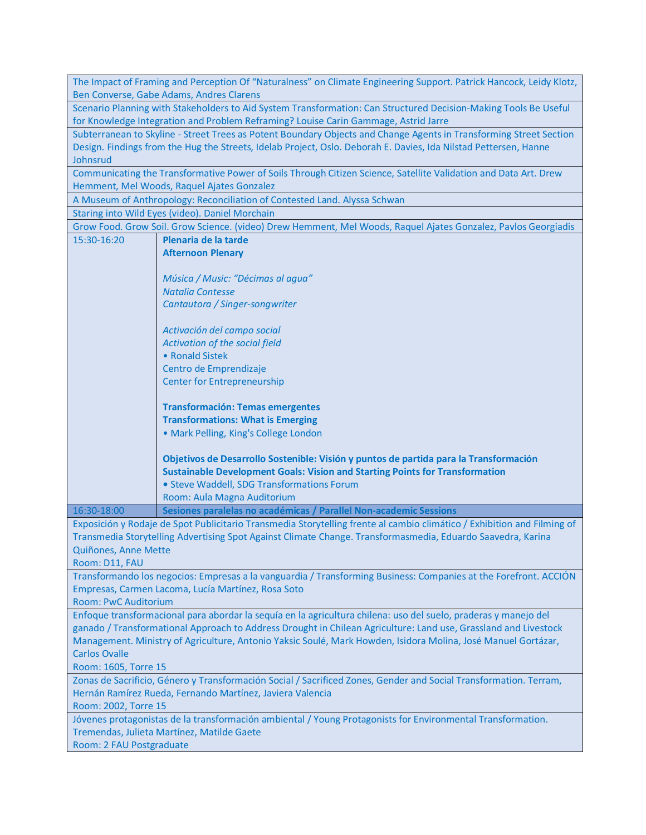|                                                                                                                   | The Impact of Framing and Perception Of "Naturalness" on Climate Engineering Support. Patrick Hancock, Leidy Klotz,                    |
|-------------------------------------------------------------------------------------------------------------------|----------------------------------------------------------------------------------------------------------------------------------------|
|                                                                                                                   | Ben Converse, Gabe Adams, Andres Clarens                                                                                               |
|                                                                                                                   | Scenario Planning with Stakeholders to Aid System Transformation: Can Structured Decision-Making Tools Be Useful                       |
|                                                                                                                   | for Knowledge Integration and Problem Reframing? Louise Carin Gammage, Astrid Jarre                                                    |
|                                                                                                                   | Subterranean to Skyline - Street Trees as Potent Boundary Objects and Change Agents in Transforming Street Section                     |
| Design. Findings from the Hug the Streets, Idelab Project, Oslo. Deborah E. Davies, Ida Nilstad Pettersen, Hanne  |                                                                                                                                        |
| Johnsrud                                                                                                          |                                                                                                                                        |
|                                                                                                                   | Communicating the Transformative Power of Soils Through Citizen Science, Satellite Validation and Data Art. Drew                       |
|                                                                                                                   | Hemment, Mel Woods, Raquel Ajates Gonzalez                                                                                             |
|                                                                                                                   | A Museum of Anthropology: Reconciliation of Contested Land. Alyssa Schwan                                                              |
|                                                                                                                   | Staring into Wild Eyes (video). Daniel Morchain                                                                                        |
| 15:30-16:20                                                                                                       | Grow Food. Grow Soil. Grow Science. (video) Drew Hemment, Mel Woods, Raquel Ajates Gonzalez, Pavlos Georgiadis<br>Plenaria de la tarde |
|                                                                                                                   | <b>Afternoon Plenary</b>                                                                                                               |
|                                                                                                                   |                                                                                                                                        |
|                                                                                                                   | Música / Music: "Décimas al agua"                                                                                                      |
|                                                                                                                   | <b>Natalia Contesse</b>                                                                                                                |
|                                                                                                                   | Cantautora / Singer-songwriter                                                                                                         |
|                                                                                                                   |                                                                                                                                        |
|                                                                                                                   | Activación del campo social                                                                                                            |
|                                                                                                                   | Activation of the social field                                                                                                         |
|                                                                                                                   | • Ronald Sistek                                                                                                                        |
|                                                                                                                   | Centro de Emprendizaje                                                                                                                 |
|                                                                                                                   | <b>Center for Entrepreneurship</b>                                                                                                     |
|                                                                                                                   |                                                                                                                                        |
|                                                                                                                   | <b>Transformación: Temas emergentes</b>                                                                                                |
|                                                                                                                   | <b>Transformations: What is Emerging</b>                                                                                               |
|                                                                                                                   | · Mark Pelling, King's College London                                                                                                  |
|                                                                                                                   |                                                                                                                                        |
|                                                                                                                   | Objetivos de Desarrollo Sostenible: Visión y puntos de partida para la Transformación                                                  |
|                                                                                                                   | <b>Sustainable Development Goals: Vision and Starting Points for Transformation</b><br>• Steve Waddell, SDG Transformations Forum      |
|                                                                                                                   | Room: Aula Magna Auditorium                                                                                                            |
| 16:30-18:00                                                                                                       | Sesiones paralelas no académicas / Parallel Non-academic Sessions                                                                      |
|                                                                                                                   | Exposición y Rodaje de Spot Publicitario Transmedia Storytelling frente al cambio climático / Exhibition and Filming of                |
|                                                                                                                   | Transmedia Storytelling Advertising Spot Against Climate Change. Transformasmedia, Eduardo Saavedra, Karina                            |
| Quiñones, Anne Mette                                                                                              |                                                                                                                                        |
| Room: D11, FAU                                                                                                    |                                                                                                                                        |
|                                                                                                                   | Transformando los negocios: Empresas a la vanguardia / Transforming Business: Companies at the Forefront. ACCIÓN                       |
|                                                                                                                   | Empresas, Carmen Lacoma, Lucía Martínez, Rosa Soto                                                                                     |
| <b>Room: PwC Auditorium</b>                                                                                       |                                                                                                                                        |
|                                                                                                                   | Enfoque transformacional para abordar la sequía en la agricultura chilena: uso del suelo, praderas y manejo del                        |
|                                                                                                                   | ganado / Transformational Approach to Address Drought in Chilean Agriculture: Land use, Grassland and Livestock                        |
| Management. Ministry of Agriculture, Antonio Yaksic Soulé, Mark Howden, Isidora Molina, José Manuel Gortázar,     |                                                                                                                                        |
| <b>Carlos Ovalle</b>                                                                                              |                                                                                                                                        |
| Room: 1605, Torre 15                                                                                              |                                                                                                                                        |
| Zonas de Sacrificio, Género y Transformación Social / Sacrificed Zones, Gender and Social Transformation. Terram, |                                                                                                                                        |
| Hernán Ramírez Rueda, Fernando Martínez, Javiera Valencia                                                         |                                                                                                                                        |
| Room: 2002, Torre 15                                                                                              |                                                                                                                                        |
| Jóvenes protagonistas de la transformación ambiental / Young Protagonists for Environmental Transformation.       |                                                                                                                                        |
| Tremendas, Julieta Martínez, Matilde Gaete                                                                        |                                                                                                                                        |
| Room: 2 FAU Postgraduate                                                                                          |                                                                                                                                        |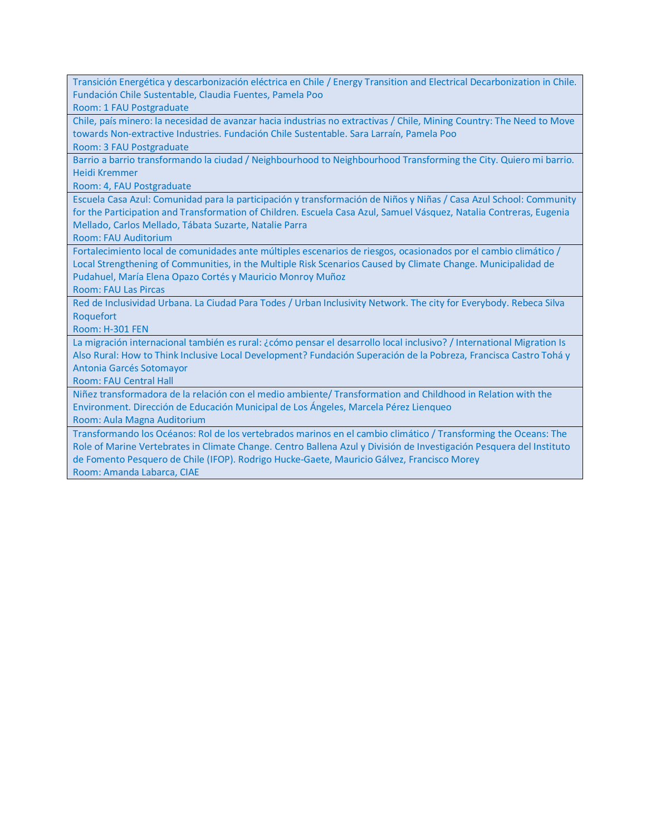Transición Energética y descarbonización eléctrica en Chile / Energy Transition and Electrical Decarbonization in Chile. Fundación Chile Sustentable, Claudia Fuentes, Pamela Poo

Room: 1 FAU Postgraduate

Chile, país minero: la necesidad de avanzar hacia industrias no extractivas / Chile, Mining Country: The Need to Move towards Non-extractive Industries. Fundación Chile Sustentable. Sara Larraín, Pamela Poo

Room: 3 FAU Postgraduate

Barrio a barrio transformando la ciudad / Neighbourhood to Neighbourhood Transforming the City. Quiero mi barrio. Heidi Kremmer

Room: 4, FAU Postgraduate

Escuela Casa Azul: Comunidad para la participación y transformación de Niños y Niñas / Casa Azul School: Community for the Participation and Transformation of Children. Escuela Casa Azul, Samuel Vásquez, Natalia Contreras, Eugenia Mellado, Carlos Mellado, Tábata Suzarte, Natalie Parra

Room: FAU Auditorium

Fortalecimiento local de comunidades ante múltiples escenarios de riesgos, ocasionados por el cambio climático / Local Strengthening of Communities, in the Multiple Risk Scenarios Caused by Climate Change. Municipalidad de Pudahuel, María Elena Opazo Cortés y Mauricio Monroy Muñoz

Room: FAU Las Pircas

Red de Inclusividad Urbana. La Ciudad Para Todes / Urban Inclusivity Network. The city for Everybody. Rebeca Silva Roquefort

Room: H-301 FEN

La migración internacional también es rural: ¿cómo pensar el desarrollo local inclusivo? / International Migration Is Also Rural: How to Think Inclusive Local Development? Fundación Superación de la Pobreza, Francisca Castro Tohá y Antonia Garcés Sotomayor

Room: FAU Central Hall

Niñez transformadora de la relación con el medio ambiente/ Transformation and Childhood in Relation with the Environment. Dirección de Educación Municipal de Los Ángeles, Marcela Pérez Lienqueo

Room: Aula Magna Auditorium

Transformando los Océanos: Rol de los vertebrados marinos en el cambio climático / Transforming the Oceans: The Role of Marine Vertebrates in Climate Change. Centro Ballena Azul y División de Investigación Pesquera del Instituto de Fomento Pesquero de Chile (IFOP). Rodrigo Hucke-Gaete, Mauricio Gálvez, Francisco Morey Room: Amanda Labarca, CIAE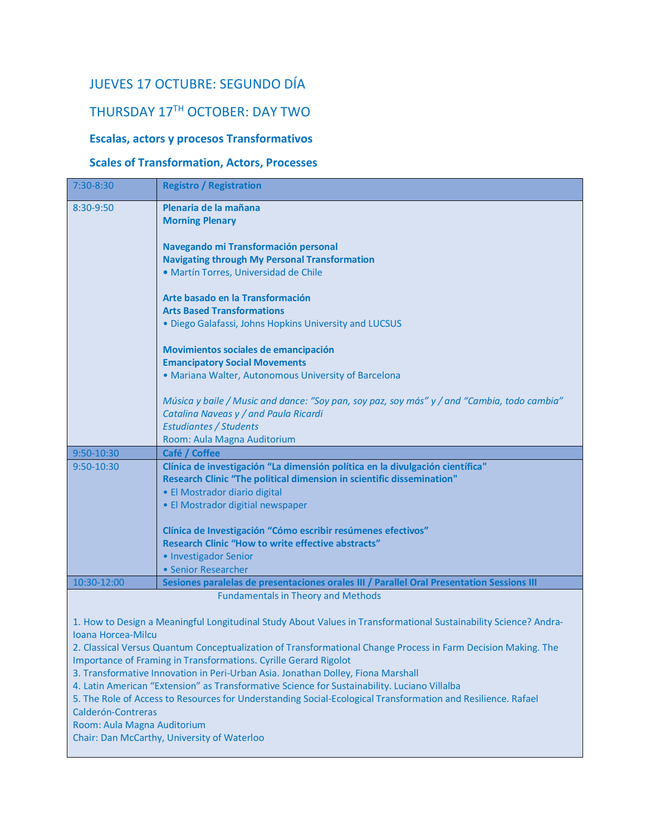### JUEVES 17 OCTUBRE: SEGUNDO DÍA

## THURSDAY 17TH OCTOBER: DAY TWO

#### **Escalas, actors y procesos Transformativos**

#### **Scales of Transformation, Actors, Processes**

| 7:30-8:30   | <b>Registro / Registration</b>                                                              |
|-------------|---------------------------------------------------------------------------------------------|
| 8:30-9:50   | Plenaria de la mañana                                                                       |
|             | <b>Morning Plenary</b>                                                                      |
|             |                                                                                             |
|             | Navegando mi Transformación personal                                                        |
|             | <b>Navigating through My Personal Transformation</b>                                        |
|             | · Martín Torres, Universidad de Chile                                                       |
|             | Arte basado en la Transformación                                                            |
|             | <b>Arts Based Transformations</b>                                                           |
|             | . Diego Galafassi, Johns Hopkins University and LUCSUS                                      |
|             | Movimientos sociales de emancipación                                                        |
|             | <b>Emancipatory Social Movements</b>                                                        |
|             | • Mariana Walter, Autonomous University of Barcelona                                        |
|             |                                                                                             |
|             | Música y baile / Music and dance: "Soy pan, soy paz, soy más" y / and "Cambia, todo cambia" |
|             | Catalina Naveas y / and Paula Ricardi                                                       |
|             | <b>Estudiantes / Students</b>                                                               |
|             | Room: Aula Magna Auditorium                                                                 |
| 9:50-10:30  | Café / Coffee                                                                               |
| 9:50-10:30  | Clínica de investigación "La dimensión política en la divulgación científica"               |
|             | Research Clinic "The political dimension in scientific dissemination"                       |
|             | • El Mostrador diario digital                                                               |
|             | • El Mostrador digitial newspaper                                                           |
|             | Clínica de Investigación "Cómo escribir resúmenes efectivos"                                |
|             | <b>Research Clinic "How to write effective abstracts"</b>                                   |
|             | • Investigador Senior                                                                       |
|             | • Senior Researcher                                                                         |
| 10:30-12:00 | Sesiones paralelas de presentaciones orales III / Parallel Oral Presentation Sessions III   |
|             | <b>Fundamentals in Theory and Methods</b>                                                   |
|             |                                                                                             |

1. How to Design a Meaningful Longitudinal Study About Values in Transformational Sustainability Science? Andra-Ioana Horcea-Milcu

2. Classical Versus Quantum Conceptualization of Transformational Change Process in Farm Decision Making. The Importance of Framing in Transformations. Cyrille Gerard Rigolot

3. Transformative Innovation in Peri-Urban Asia. Jonathan Dolley, Fiona Marshall

4. Latin American "Extension" as Transformative Science for Sustainability. Luciano Villalba

5. The Role of Access to Resources for Understanding Social-Ecological Transformation and Resilience. Rafael

Calderón-Contreras

Room: Aula Magna Auditorium

Chair: Dan McCarthy, University of Waterloo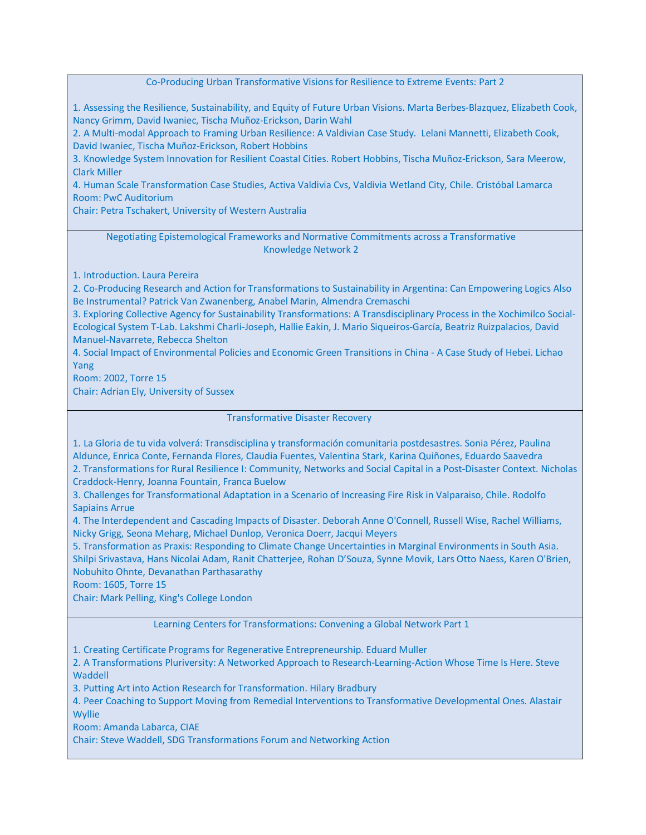Co-Producing Urban Transformative Visions for Resilience to Extreme Events: Part 2

1. Assessing the Resilience, Sustainability, and Equity of Future Urban Visions. Marta Berbes-Blazquez, Elizabeth Cook, Nancy Grimm, David Iwaniec, Tischa Muñoz-Erickson, Darin Wahl

2. A Multi-modal Approach to Framing Urban Resilience: A Valdivian Case Study. Lelani Mannetti, Elizabeth Cook, David Iwaniec, Tischa Muñoz-Erickson, Robert Hobbins

3. Knowledge System Innovation for Resilient Coastal Cities. Robert Hobbins, Tischa Muñoz-Erickson, Sara Meerow, Clark Miller

4. Human Scale Transformation Case Studies, Activa Valdivia Cvs, Valdivia Wetland City, Chile. Cristóbal Lamarca Room: PwC Auditorium

Chair: Petra Tschakert, University of Western Australia

Negotiating Epistemological Frameworks and Normative Commitments across a Transformative Knowledge Network 2

1. Introduction. Laura Pereira

2. Co-Producing Research and Action for Transformations to Sustainability in Argentina: Can Empowering Logics Also Be Instrumental? Patrick Van Zwanenberg, Anabel Marin, Almendra Cremaschi

3. Exploring Collective Agency for Sustainability Transformations: A Transdisciplinary Process in the Xochimilco Social-Ecological System T-Lab. Lakshmi Charli-Joseph, Hallie Eakin, J. Mario Siqueiros-García, Beatriz Ruizpalacios, David Manuel-Navarrete, Rebecca Shelton

4. Social Impact of Environmental Policies and Economic Green Transitions in China - A Case Study of Hebei. Lichao Yang

Room: 2002, Torre 15

Chair: Adrian Ely, University of Sussex

Transformative Disaster Recovery

1. La Gloria de tu vida volverá: Transdisciplina y transformación comunitaria postdesastres. Sonia Pérez, Paulina Aldunce, Enrica Conte, Fernanda Flores, Claudia Fuentes, Valentina Stark, Karina Quiñones, Eduardo Saavedra 2. Transformations for Rural Resilience I: Community, Networks and Social Capital in a Post-Disaster Context. Nicholas Craddock-Henry, Joanna Fountain, Franca Buelow

3. Challenges for Transformational Adaptation in a Scenario of Increasing Fire Risk in Valparaiso, Chile. Rodolfo Sapiains Arrue

4. The Interdependent and Cascading Impacts of Disaster. Deborah Anne O'Connell, Russell Wise, Rachel Williams, Nicky Grigg, Seona Meharg, Michael Dunlop, Veronica Doerr, Jacqui Meyers

5. Transformation as Praxis: Responding to Climate Change Uncertainties in Marginal Environments in South Asia. Shilpi Srivastava, Hans Nicolai Adam, Ranit Chatterjee, Rohan D'Souza, Synne Movik, Lars Otto Naess, Karen O'Brien, Nobuhito Ohnte, Devanathan Parthasarathy

Room: 1605, Torre 15

Chair: Mark Pelling, King's College London

Learning Centers for Transformations: Convening a Global Network Part 1

1. Creating Certificate Programs for Regenerative Entrepreneurship. Eduard Muller

2. A Transformations Pluriversity: A Networked Approach to Research-Learning-Action Whose Time Is Here. Steve **Waddell** 

3. Putting Art into Action Research for Transformation. Hilary Bradbury

4. Peer Coaching to Support Moving from Remedial Interventions to Transformative Developmental Ones. Alastair **Wyllie** 

Room: Amanda Labarca, CIAE

Chair: Steve Waddell, SDG Transformations Forum and Networking Action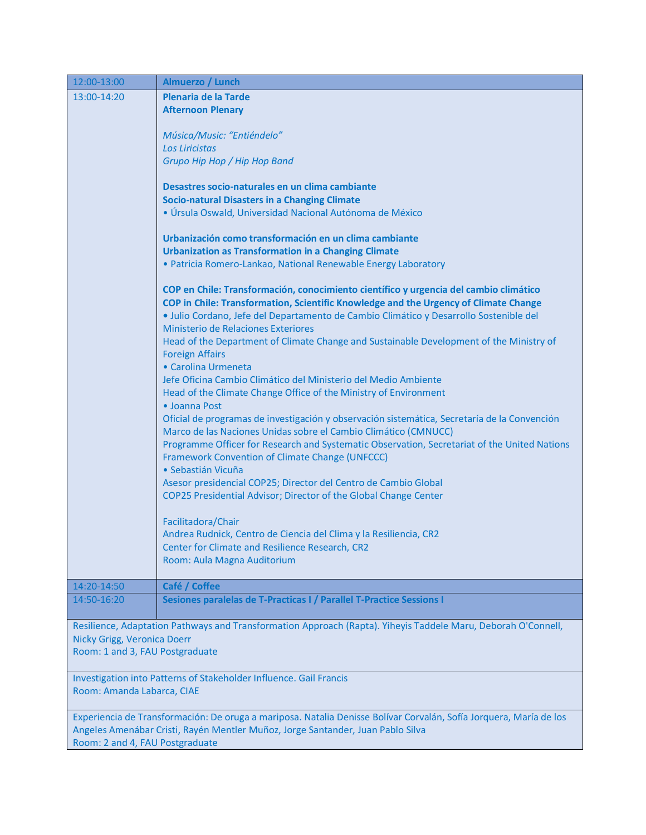| 12:00-13:00                     | Almuerzo / Lunch                                                                                                                                                              |  |
|---------------------------------|-------------------------------------------------------------------------------------------------------------------------------------------------------------------------------|--|
| 13:00-14:20                     | Plenaria de la Tarde                                                                                                                                                          |  |
|                                 | <b>Afternoon Plenary</b>                                                                                                                                                      |  |
|                                 |                                                                                                                                                                               |  |
|                                 | Música/Music: "Entiéndelo"                                                                                                                                                    |  |
|                                 | Los Liricistas                                                                                                                                                                |  |
|                                 | Grupo Hip Hop / Hip Hop Band                                                                                                                                                  |  |
|                                 | Desastres socio-naturales en un clima cambiante                                                                                                                               |  |
|                                 | <b>Socio-natural Disasters in a Changing Climate</b>                                                                                                                          |  |
|                                 | · Úrsula Oswald, Universidad Nacional Autónoma de México                                                                                                                      |  |
|                                 |                                                                                                                                                                               |  |
|                                 | Urbanización como transformación en un clima cambiante                                                                                                                        |  |
|                                 | <b>Urbanization as Transformation in a Changing Climate</b>                                                                                                                   |  |
|                                 | · Patricia Romero-Lankao, National Renewable Energy Laboratory                                                                                                                |  |
|                                 |                                                                                                                                                                               |  |
|                                 | COP en Chile: Transformación, conocimiento científico y urgencia del cambio climático<br>COP in Chile: Transformation, Scientific Knowledge and the Urgency of Climate Change |  |
|                                 | · Julio Cordano, Jefe del Departamento de Cambio Climático y Desarrollo Sostenible del                                                                                        |  |
|                                 | Ministerio de Relaciones Exteriores                                                                                                                                           |  |
|                                 | Head of the Department of Climate Change and Sustainable Development of the Ministry of                                                                                       |  |
|                                 | <b>Foreign Affairs</b>                                                                                                                                                        |  |
|                                 | • Carolina Urmeneta                                                                                                                                                           |  |
|                                 | Jefe Oficina Cambio Climático del Ministerio del Medio Ambiente                                                                                                               |  |
|                                 | Head of the Climate Change Office of the Ministry of Environment                                                                                                              |  |
|                                 | • Joanna Post                                                                                                                                                                 |  |
|                                 | Oficial de programas de investigación y observación sistemática, Secretaría de la Convención                                                                                  |  |
|                                 | Marco de las Naciones Unidas sobre el Cambio Climático (CMNUCC)                                                                                                               |  |
|                                 | Programme Officer for Research and Systematic Observation, Secretariat of the United Nations<br>Framework Convention of Climate Change (UNFCCC)                               |  |
|                                 | · Sebastián Vicuña                                                                                                                                                            |  |
|                                 | Asesor presidencial COP25; Director del Centro de Cambio Global                                                                                                               |  |
|                                 | COP25 Presidential Advisor; Director of the Global Change Center                                                                                                              |  |
|                                 |                                                                                                                                                                               |  |
|                                 | Facilitadora/Chair                                                                                                                                                            |  |
|                                 | Andrea Rudnick, Centro de Ciencia del Clima y la Resiliencia, CR2                                                                                                             |  |
|                                 | Center for Climate and Resilience Research, CR2                                                                                                                               |  |
|                                 | Room: Aula Magna Auditorium                                                                                                                                                   |  |
| 14:20-14:50                     | Café / Coffee                                                                                                                                                                 |  |
| 14:50-16:20                     | Sesiones paralelas de T-Practicas I / Parallel T-Practice Sessions I                                                                                                          |  |
|                                 |                                                                                                                                                                               |  |
|                                 | Resilience, Adaptation Pathways and Transformation Approach (Rapta). Yiheyis Taddele Maru, Deborah O'Connell,                                                                 |  |
|                                 | Nicky Grigg, Veronica Doerr                                                                                                                                                   |  |
| Room: 1 and 3, FAU Postgraduate |                                                                                                                                                                               |  |
|                                 | Investigation into Patterns of Stakeholder Influence. Gail Francis                                                                                                            |  |
| Room: Amanda Labarca, CIAE      |                                                                                                                                                                               |  |
|                                 |                                                                                                                                                                               |  |
|                                 | Experiencia de Transformación: De oruga a mariposa. Natalia Denisse Bolívar Corvalán, Sofía Jorquera, María de los                                                            |  |
|                                 | Angeles Amenábar Cristi, Rayén Mentler Muñoz, Jorge Santander, Juan Pablo Silva                                                                                               |  |
| Room: 2 and 4, FAU Postgraduate |                                                                                                                                                                               |  |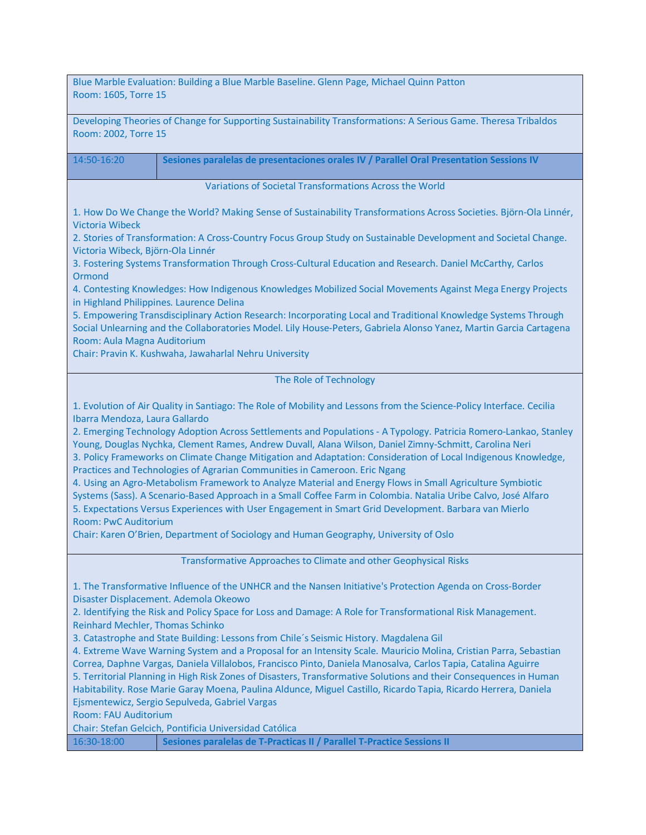| Blue Marble Evaluation: Building a Blue Marble Baseline. Glenn Page, Michael Quinn Patton<br>Room: 1605, Torre 15                                                                                                                                                                                                                                                                                                                                                                                                                                                                                                                                                                                                                                                                                                                                                                                                                                                                                                                                    |  |
|------------------------------------------------------------------------------------------------------------------------------------------------------------------------------------------------------------------------------------------------------------------------------------------------------------------------------------------------------------------------------------------------------------------------------------------------------------------------------------------------------------------------------------------------------------------------------------------------------------------------------------------------------------------------------------------------------------------------------------------------------------------------------------------------------------------------------------------------------------------------------------------------------------------------------------------------------------------------------------------------------------------------------------------------------|--|
| Developing Theories of Change for Supporting Sustainability Transformations: A Serious Game. Theresa Tribaldos<br>Room: 2002, Torre 15                                                                                                                                                                                                                                                                                                                                                                                                                                                                                                                                                                                                                                                                                                                                                                                                                                                                                                               |  |
| 14:50-16:20<br>Sesiones paralelas de presentaciones orales IV / Parallel Oral Presentation Sessions IV                                                                                                                                                                                                                                                                                                                                                                                                                                                                                                                                                                                                                                                                                                                                                                                                                                                                                                                                               |  |
| Variations of Societal Transformations Across the World                                                                                                                                                                                                                                                                                                                                                                                                                                                                                                                                                                                                                                                                                                                                                                                                                                                                                                                                                                                              |  |
| 1. How Do We Change the World? Making Sense of Sustainability Transformations Across Societies. Björn-Ola Linnér,<br><b>Victoria Wibeck</b>                                                                                                                                                                                                                                                                                                                                                                                                                                                                                                                                                                                                                                                                                                                                                                                                                                                                                                          |  |
| 2. Stories of Transformation: A Cross-Country Focus Group Study on Sustainable Development and Societal Change.<br>Victoria Wibeck, Björn-Ola Linnér                                                                                                                                                                                                                                                                                                                                                                                                                                                                                                                                                                                                                                                                                                                                                                                                                                                                                                 |  |
| 3. Fostering Systems Transformation Through Cross-Cultural Education and Research. Daniel McCarthy, Carlos<br>Ormond                                                                                                                                                                                                                                                                                                                                                                                                                                                                                                                                                                                                                                                                                                                                                                                                                                                                                                                                 |  |
| 4. Contesting Knowledges: How Indigenous Knowledges Mobilized Social Movements Against Mega Energy Projects<br>in Highland Philippines. Laurence Delina                                                                                                                                                                                                                                                                                                                                                                                                                                                                                                                                                                                                                                                                                                                                                                                                                                                                                              |  |
| 5. Empowering Transdisciplinary Action Research: Incorporating Local and Traditional Knowledge Systems Through<br>Social Unlearning and the Collaboratories Model. Lily House-Peters, Gabriela Alonso Yanez, Martin Garcia Cartagena                                                                                                                                                                                                                                                                                                                                                                                                                                                                                                                                                                                                                                                                                                                                                                                                                 |  |
| Room: Aula Magna Auditorium<br>Chair: Pravin K. Kushwaha, Jawaharlal Nehru University                                                                                                                                                                                                                                                                                                                                                                                                                                                                                                                                                                                                                                                                                                                                                                                                                                                                                                                                                                |  |
| The Role of Technology                                                                                                                                                                                                                                                                                                                                                                                                                                                                                                                                                                                                                                                                                                                                                                                                                                                                                                                                                                                                                               |  |
| 1. Evolution of Air Quality in Santiago: The Role of Mobility and Lessons from the Science-Policy Interface. Cecilia<br>Ibarra Mendoza, Laura Gallardo<br>2. Emerging Technology Adoption Across Settlements and Populations - A Typology. Patricia Romero-Lankao, Stanley<br>Young, Douglas Nychka, Clement Rames, Andrew Duvall, Alana Wilson, Daniel Zimny-Schmitt, Carolina Neri<br>3. Policy Frameworks on Climate Change Mitigation and Adaptation: Consideration of Local Indigenous Knowledge,<br>Practices and Technologies of Agrarian Communities in Cameroon. Eric Ngang<br>4. Using an Agro-Metabolism Framework to Analyze Material and Energy Flows in Small Agriculture Symbiotic<br>Systems (Sass). A Scenario-Based Approach in a Small Coffee Farm in Colombia. Natalia Uribe Calvo, José Alfaro<br>5. Expectations Versus Experiences with User Engagement in Smart Grid Development. Barbara van Mierlo<br><b>Room: PwC Auditorium</b><br>Chair: Karen O'Brien, Department of Sociology and Human Geography, University of Oslo |  |
| Transformative Approaches to Climate and other Geophysical Risks                                                                                                                                                                                                                                                                                                                                                                                                                                                                                                                                                                                                                                                                                                                                                                                                                                                                                                                                                                                     |  |
| 1. The Transformative Influence of the UNHCR and the Nansen Initiative's Protection Agenda on Cross-Border<br>Disaster Displacement. Ademola Okeowo<br>2. Identifying the Risk and Policy Space for Loss and Damage: A Role for Transformational Risk Management.<br>Reinhard Mechler, Thomas Schinko<br>3. Catastrophe and State Building: Lessons from Chile's Seismic History. Magdalena Gil<br>4. Extreme Wave Warning System and a Proposal for an Intensity Scale. Mauricio Molina, Cristian Parra, Sebastian<br>Correa, Daphne Vargas, Daniela Villalobos, Francisco Pinto, Daniela Manosalva, Carlos Tapia, Catalina Aguirre<br>5. Territorial Planning in High Risk Zones of Disasters, Transformative Solutions and their Consequences in Human<br>Habitability. Rose Marie Garay Moena, Paulina Aldunce, Miguel Castillo, Ricardo Tapia, Ricardo Herrera, Daniela<br>Ejsmentewicz, Sergio Sepulveda, Gabriel Vargas<br><b>Room: FAU Auditorium</b><br>Chair: Stefan Gelcich, Pontificia Universidad Católica                              |  |
| Sesiones paralelas de T-Practicas II / Parallel T-Practice Sessions II<br>16:30-18:00                                                                                                                                                                                                                                                                                                                                                                                                                                                                                                                                                                                                                                                                                                                                                                                                                                                                                                                                                                |  |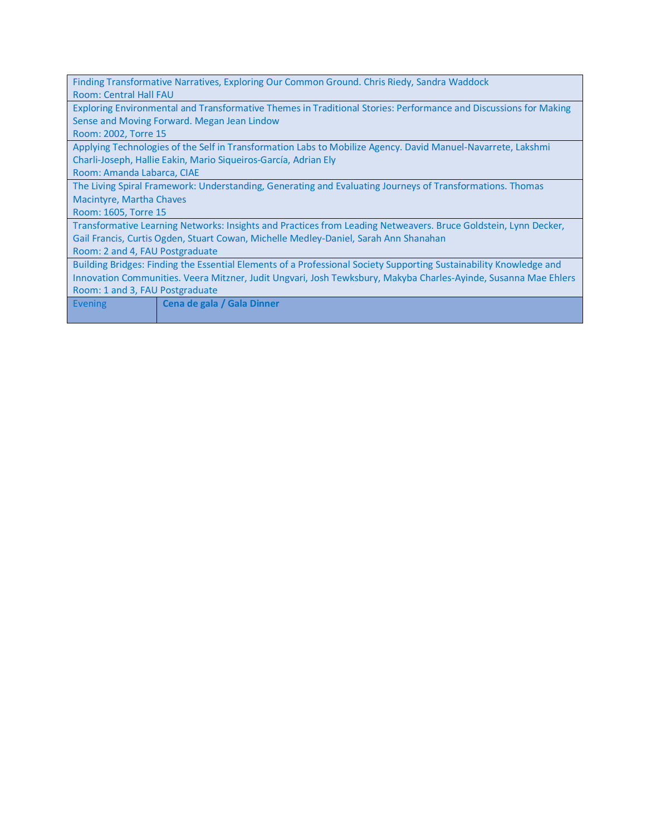| Finding Transformative Narratives, Exploring Our Common Ground. Chris Riedy, Sandra Waddock                        |  |
|--------------------------------------------------------------------------------------------------------------------|--|
| Room: Central Hall FAU                                                                                             |  |
| Exploring Environmental and Transformative Themes in Traditional Stories: Performance and Discussions for Making   |  |
| Sense and Moving Forward. Megan Jean Lindow                                                                        |  |
| Room: 2002, Torre 15                                                                                               |  |
| Applying Technologies of the Self in Transformation Labs to Mobilize Agency. David Manuel-Navarrete, Lakshmi       |  |
| Charli-Joseph, Hallie Eakin, Mario Siqueiros-García, Adrian Ely                                                    |  |
| Room: Amanda Labarca, CIAE                                                                                         |  |
| The Living Spiral Framework: Understanding, Generating and Evaluating Journeys of Transformations. Thomas          |  |
| Macintyre, Martha Chaves                                                                                           |  |
| Room: 1605, Torre 15                                                                                               |  |
| Transformative Learning Networks: Insights and Practices from Leading Netweavers. Bruce Goldstein, Lynn Decker,    |  |
| Gail Francis, Curtis Ogden, Stuart Cowan, Michelle Medley-Daniel, Sarah Ann Shanahan                               |  |
| Room: 2 and 4, FAU Postgraduate                                                                                    |  |
| Building Bridges: Finding the Essential Elements of a Professional Society Supporting Sustainability Knowledge and |  |
| Innovation Communities. Veera Mitzner, Judit Ungvari, Josh Tewksbury, Makyba Charles-Ayinde, Susanna Mae Ehlers    |  |
| Room: 1 and 3, FAU Postgraduate                                                                                    |  |
| Cena de gala / Gala Dinner<br><b>Evening</b>                                                                       |  |
|                                                                                                                    |  |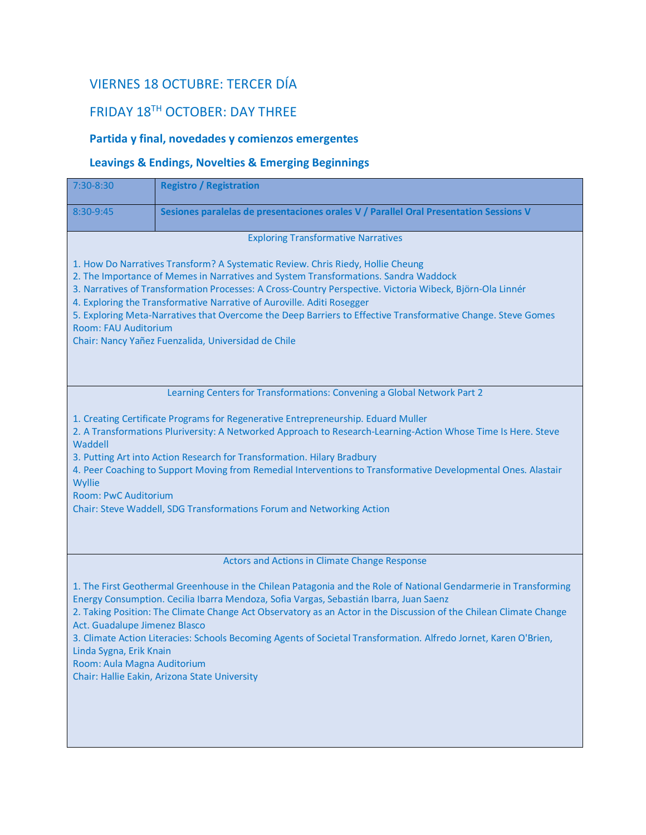# VIERNES 18 OCTUBRE: TERCER DÍA

# FRIDAY 18TH OCTOBER: DAY THREE

### **Partida y final, novedades y comienzos emergentes**

#### **Leavings & Endings, Novelties & Emerging Beginnings**

| 7:30-8:30                                                                                                                                                                                                                                                                                                                                                                                                                                                                                                                                                                                        | <b>Registro / Registration</b>                                                        |
|--------------------------------------------------------------------------------------------------------------------------------------------------------------------------------------------------------------------------------------------------------------------------------------------------------------------------------------------------------------------------------------------------------------------------------------------------------------------------------------------------------------------------------------------------------------------------------------------------|---------------------------------------------------------------------------------------|
| 8:30-9:45                                                                                                                                                                                                                                                                                                                                                                                                                                                                                                                                                                                        | Sesiones paralelas de presentaciones orales V / Parallel Oral Presentation Sessions V |
|                                                                                                                                                                                                                                                                                                                                                                                                                                                                                                                                                                                                  | <b>Exploring Transformative Narratives</b>                                            |
| 1. How Do Narratives Transform? A Systematic Review. Chris Riedy, Hollie Cheung<br>2. The Importance of Memes in Narratives and System Transformations. Sandra Waddock<br>3. Narratives of Transformation Processes: A Cross-Country Perspective. Victoria Wibeck, Björn-Ola Linnér<br>4. Exploring the Transformative Narrative of Auroville. Aditi Rosegger<br>5. Exploring Meta-Narratives that Overcome the Deep Barriers to Effective Transformative Change. Steve Gomes<br><b>Room: FAU Auditorium</b><br>Chair: Nancy Yañez Fuenzalida, Universidad de Chile                              |                                                                                       |
|                                                                                                                                                                                                                                                                                                                                                                                                                                                                                                                                                                                                  | Learning Centers for Transformations: Convening a Global Network Part 2               |
| 1. Creating Certificate Programs for Regenerative Entrepreneurship. Eduard Muller<br>2. A Transformations Pluriversity: A Networked Approach to Research-Learning-Action Whose Time Is Here. Steve<br>Waddell<br>3. Putting Art into Action Research for Transformation. Hilary Bradbury<br>4. Peer Coaching to Support Moving from Remedial Interventions to Transformative Developmental Ones. Alastair<br>Wyllie<br><b>Room: PwC Auditorium</b><br>Chair: Steve Waddell, SDG Transformations Forum and Networking Action                                                                      |                                                                                       |
|                                                                                                                                                                                                                                                                                                                                                                                                                                                                                                                                                                                                  | Actors and Actions in Climate Change Response                                         |
| 1. The First Geothermal Greenhouse in the Chilean Patagonia and the Role of National Gendarmerie in Transforming<br>Energy Consumption. Cecilia Ibarra Mendoza, Sofia Vargas, Sebastián Ibarra, Juan Saenz<br>2. Taking Position: The Climate Change Act Observatory as an Actor in the Discussion of the Chilean Climate Change<br>Act. Guadalupe Jimenez Blasco<br>3. Climate Action Literacies: Schools Becoming Agents of Societal Transformation. Alfredo Jornet, Karen O'Brien,<br>Linda Sygna, Erik Knain<br>Room: Aula Magna Auditorium<br>Chair: Hallie Eakin, Arizona State University |                                                                                       |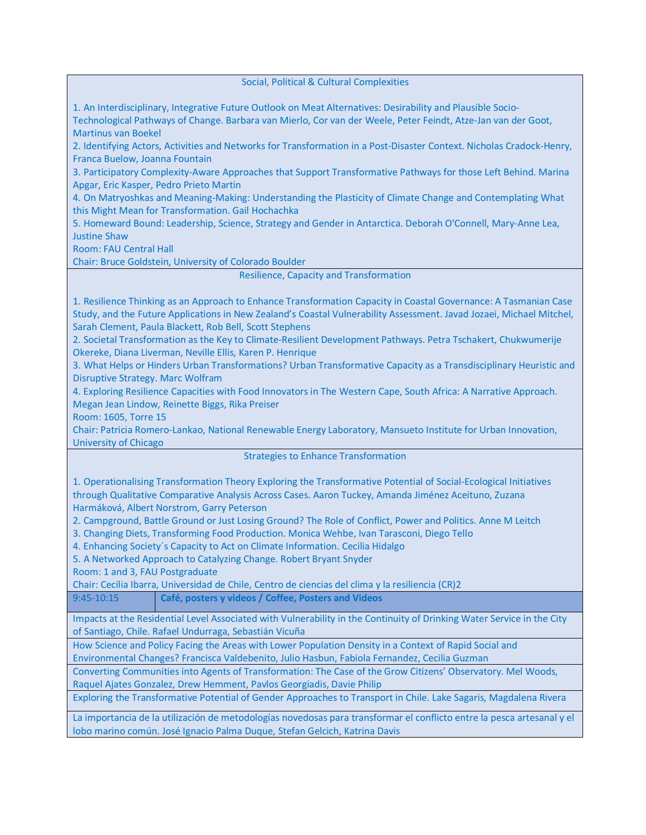Social, Political & Cultural Complexities

1. An Interdisciplinary, Integrative Future Outlook on Meat Alternatives: Desirability and Plausible Socio-

Technological Pathways of Change. Barbara van Mierlo, Cor van der Weele, Peter Feindt, Atze-Jan van der Goot, Martinus van Boekel

2. Identifying Actors, Activities and Networks for Transformation in a Post-Disaster Context. Nicholas Cradock-Henry, Franca Buelow, Joanna Fountain

3. Participatory Complexity-Aware Approaches that Support Transformative Pathways for those Left Behind. Marina Apgar, Eric Kasper, Pedro Prieto Martin

4. On Matryoshkas and Meaning-Making: Understanding the Plasticity of Climate Change and Contemplating What this Might Mean for Transformation. Gail Hochachka

5. Homeward Bound: Leadership, Science, Strategy and Gender in Antarctica. Deborah O'Connell, Mary-Anne Lea, Justine Shaw

Room: FAU Central Hall

Chair: Bruce Goldstein, University of Colorado Boulder

Resilience, Capacity and Transformation

1. Resilience Thinking as an Approach to Enhance Transformation Capacity in Coastal Governance: A Tasmanian Case Study, and the Future Applications in New Zealand's Coastal Vulnerability Assessment. Javad Jozaei, Michael Mitchel, Sarah Clement, Paula Blackett, Rob Bell, Scott Stephens

2. Societal Transformation as the Key to Climate-Resilient Development Pathways. Petra Tschakert, Chukwumerije Okereke, Diana Liverman, Neville Ellis, Karen P. Henrique

3. What Helps or Hinders Urban Transformations? Urban Transformative Capacity as a Transdisciplinary Heuristic and Disruptive Strategy. Marc Wolfram

4. Exploring Resilience Capacities with Food Innovators in The Western Cape, South Africa: A Narrative Approach. Megan Jean Lindow, Reinette Biggs, Rika Preiser

Room: 1605, Torre 15

Chair: Patricia Romero-Lankao, National Renewable Energy Laboratory, Mansueto Institute for Urban Innovation, University of Chicago

Strategies to Enhance Transformation

1. Operationalising Transformation Theory Exploring the Transformative Potential of Social-Ecological Initiatives through Qualitative Comparative Analysis Across Cases. Aaron Tuckey, Amanda Jiménez Aceituno, Zuzana Harmáková, Albert Norstrom, Garry Peterson

2. Campground, Battle Ground or Just Losing Ground? The Role of Conflict, Power and Politics. Anne M Leitch

3. Changing Diets, Transforming Food Production. Monica Wehbe, Ivan Tarasconi, Diego Tello

4. Enhancing Society´s Capacity to Act on Climate Information. Cecilia Hidalgo

5. A Networked Approach to Catalyzing Change. Robert Bryant Snyder

Room: 1 and 3, FAU Postgraduate

Chair: Cecilia Ibarra, Universidad de Chile, Centro de ciencias del clima y la resiliencia (CR)2

9:45-10:15 **Café, posters y videos / Coffee, Posters and Videos**

Impacts at the Residential Level Associated with Vulnerability in the Continuity of Drinking Water Service in the City of Santiago, Chile. Rafael Undurraga, Sebastián Vicuña

How Science and Policy Facing the Areas with Lower Population Density in a Context of Rapid Social and Environmental Changes? Francisca Valdebenito, Julio Hasbun, Fabiola Fernandez, Cecilia Guzman

Converting Communities into Agents of Transformation: The Case of the Grow Citizens' Observatory. Mel Woods, Raquel Ajates Gonzalez, Drew Hemment, Pavlos Georgiadis, Davie Philip

Exploring the Transformative Potential of Gender Approaches to Transport in Chile. Lake Sagaris, Magdalena Rivera

La importancia de la utilización de metodologías novedosas para transformar el conflicto entre la pesca artesanal y el lobo marino común. José Ignacio Palma Duque, Stefan Gelcich, Katrina Davis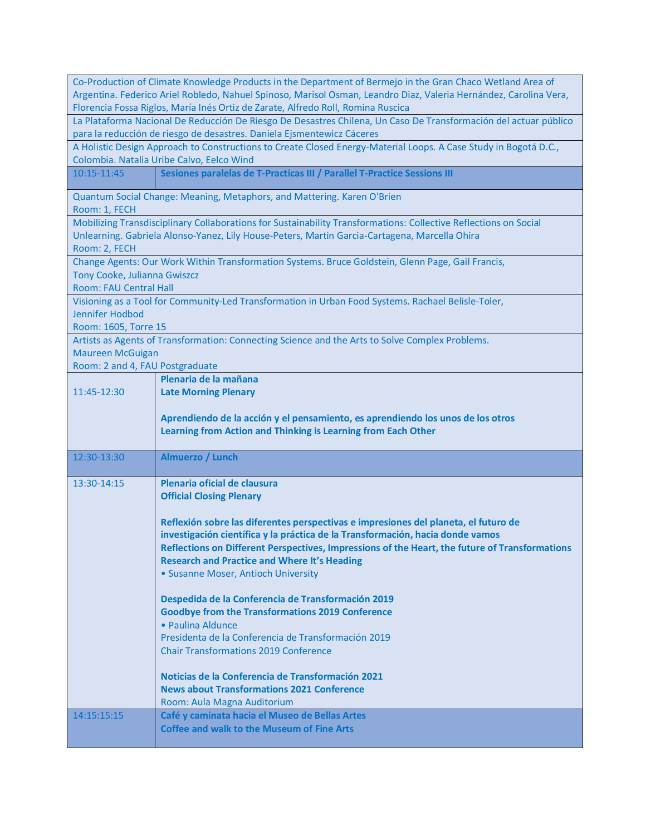|                                                                                                                                                                                                       | Co-Production of Climate Knowledge Products in the Department of Bermejo in the Gran Chaco Wetland Area of       |  |
|-------------------------------------------------------------------------------------------------------------------------------------------------------------------------------------------------------|------------------------------------------------------------------------------------------------------------------|--|
| Argentina. Federico Ariel Robledo, Nahuel Spinoso, Marisol Osman, Leandro Diaz, Valeria Hernández, Carolina Vera,<br>Florencia Fossa Riglos, María Inés Ortiz de Zarate, Alfredo Roll, Romina Ruscica |                                                                                                                  |  |
| La Plataforma Nacional De Reducción De Riesgo De Desastres Chilena, Un Caso De Transformación del actuar público                                                                                      |                                                                                                                  |  |
| para la reducción de riesgo de desastres. Daniela Ejsmentewicz Cáceres                                                                                                                                |                                                                                                                  |  |
|                                                                                                                                                                                                       | A Holistic Design Approach to Constructions to Create Closed Energy-Material Loops. A Case Study in Bogotá D.C., |  |
|                                                                                                                                                                                                       | Colombia. Natalia Uribe Calvo, Eelco Wind                                                                        |  |
| 10:15-11:45                                                                                                                                                                                           | Sesiones paralelas de T-Practicas III / Parallel T-Practice Sessions III                                         |  |
|                                                                                                                                                                                                       | Quantum Social Change: Meaning, Metaphors, and Mattering. Karen O'Brien                                          |  |
| Room: 1, FECH                                                                                                                                                                                         |                                                                                                                  |  |
|                                                                                                                                                                                                       | Mobilizing Transdisciplinary Collaborations for Sustainability Transformations: Collective Reflections on Social |  |
|                                                                                                                                                                                                       | Unlearning. Gabriela Alonso-Yanez, Lily House-Peters, Martin Garcia-Cartagena, Marcella Ohira                    |  |
| Room: 2, FECH                                                                                                                                                                                         | Change Agents: Our Work Within Transformation Systems. Bruce Goldstein, Glenn Page, Gail Francis,                |  |
| Tony Cooke, Julianna Gwiszcz                                                                                                                                                                          |                                                                                                                  |  |
| Room: FAU Central Hall                                                                                                                                                                                |                                                                                                                  |  |
|                                                                                                                                                                                                       | Visioning as a Tool for Community-Led Transformation in Urban Food Systems. Rachael Belisle-Toler,               |  |
| Jennifer Hodbod                                                                                                                                                                                       |                                                                                                                  |  |
| Room: 1605, Torre 15                                                                                                                                                                                  |                                                                                                                  |  |
|                                                                                                                                                                                                       | Artists as Agents of Transformation: Connecting Science and the Arts to Solve Complex Problems.                  |  |
| <b>Maureen McGuigan</b>                                                                                                                                                                               |                                                                                                                  |  |
| Room: 2 and 4, FAU Postgraduate                                                                                                                                                                       |                                                                                                                  |  |
|                                                                                                                                                                                                       | Plenaria de la mañana                                                                                            |  |
| 11:45-12:30                                                                                                                                                                                           | <b>Late Morning Plenary</b>                                                                                      |  |
|                                                                                                                                                                                                       | Aprendiendo de la acción y el pensamiento, es aprendiendo los unos de los otros                                  |  |
|                                                                                                                                                                                                       |                                                                                                                  |  |
|                                                                                                                                                                                                       |                                                                                                                  |  |
|                                                                                                                                                                                                       | Learning from Action and Thinking is Learning from Each Other                                                    |  |
| 12:30-13:30                                                                                                                                                                                           | Almuerzo / Lunch                                                                                                 |  |
|                                                                                                                                                                                                       |                                                                                                                  |  |
| 13:30-14:15                                                                                                                                                                                           | Plenaria oficial de clausura                                                                                     |  |
|                                                                                                                                                                                                       | <b>Official Closing Plenary</b>                                                                                  |  |
|                                                                                                                                                                                                       |                                                                                                                  |  |
|                                                                                                                                                                                                       | Reflexión sobre las diferentes perspectivas e impresiones del planeta, el futuro de                              |  |
|                                                                                                                                                                                                       | investigación científica y la práctica de la Transformación, hacia donde vamos                                   |  |
|                                                                                                                                                                                                       | Reflections on Different Perspectives, Impressions of the Heart, the future of Transformations                   |  |
|                                                                                                                                                                                                       | <b>Research and Practice and Where It's Heading</b>                                                              |  |
|                                                                                                                                                                                                       | • Susanne Moser, Antioch University                                                                              |  |
|                                                                                                                                                                                                       |                                                                                                                  |  |
|                                                                                                                                                                                                       | Despedida de la Conferencia de Transformación 2019<br><b>Goodbye from the Transformations 2019 Conference</b>    |  |
|                                                                                                                                                                                                       | · Paulina Aldunce                                                                                                |  |
|                                                                                                                                                                                                       | Presidenta de la Conferencia de Transformación 2019                                                              |  |
|                                                                                                                                                                                                       | <b>Chair Transformations 2019 Conference</b>                                                                     |  |
|                                                                                                                                                                                                       |                                                                                                                  |  |
|                                                                                                                                                                                                       | Noticias de la Conferencia de Transformación 2021                                                                |  |
|                                                                                                                                                                                                       | <b>News about Transformations 2021 Conference</b>                                                                |  |
|                                                                                                                                                                                                       | Room: Aula Magna Auditorium                                                                                      |  |
| 14:15:15:15                                                                                                                                                                                           | Café y caminata hacia el Museo de Bellas Artes<br><b>Coffee and walk to the Museum of Fine Arts</b>              |  |